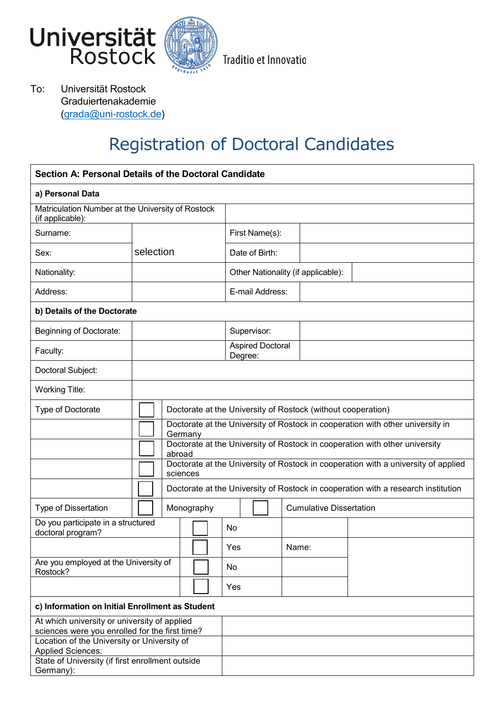



Traditio et Innovatio

To: Universität Rostock Graduiertenakademie [\(grada@uni-rostock.de\)](mailto:grada@uni-rostock.de)

# Registration of Doctoral Candidates

| Section A: Personal Details of the Doctoral Candidate                                         |           |                                                                                           |                                                                                                |                                    |                |       |                                |  |  |
|-----------------------------------------------------------------------------------------------|-----------|-------------------------------------------------------------------------------------------|------------------------------------------------------------------------------------------------|------------------------------------|----------------|-------|--------------------------------|--|--|
| a) Personal Data                                                                              |           |                                                                                           |                                                                                                |                                    |                |       |                                |  |  |
| Matriculation Number at the University of Rostock<br>(if applicable):                         |           |                                                                                           |                                                                                                |                                    |                |       |                                |  |  |
| Surname:                                                                                      |           |                                                                                           |                                                                                                |                                    | First Name(s): |       |                                |  |  |
| Sex:                                                                                          | selection |                                                                                           |                                                                                                |                                    | Date of Birth: |       |                                |  |  |
| Nationality:                                                                                  |           |                                                                                           |                                                                                                | Other Nationality (if applicable): |                |       |                                |  |  |
| Address:                                                                                      |           |                                                                                           |                                                                                                | E-mail Address:                    |                |       |                                |  |  |
| b) Details of the Doctorate                                                                   |           |                                                                                           |                                                                                                |                                    |                |       |                                |  |  |
| Beginning of Doctorate:                                                                       |           |                                                                                           |                                                                                                |                                    | Supervisor:    |       |                                |  |  |
| Faculty:                                                                                      |           |                                                                                           |                                                                                                | <b>Aspired Doctoral</b><br>Degree: |                |       |                                |  |  |
| Doctoral Subject:                                                                             |           |                                                                                           |                                                                                                |                                    |                |       |                                |  |  |
| <b>Working Title:</b>                                                                         |           |                                                                                           |                                                                                                |                                    |                |       |                                |  |  |
| Type of Doctorate                                                                             |           | Doctorate at the University of Rostock (without cooperation)                              |                                                                                                |                                    |                |       |                                |  |  |
|                                                                                               |           | Doctorate at the University of Rostock in cooperation with other university in<br>Germany |                                                                                                |                                    |                |       |                                |  |  |
|                                                                                               |           | Doctorate at the University of Rostock in cooperation with other university<br>abroad     |                                                                                                |                                    |                |       |                                |  |  |
|                                                                                               |           |                                                                                           | Doctorate at the University of Rostock in cooperation with a university of applied<br>sciences |                                    |                |       |                                |  |  |
|                                                                                               |           |                                                                                           | Doctorate at the University of Rostock in cooperation with a research institution              |                                    |                |       |                                |  |  |
| Type of Dissertation                                                                          |           |                                                                                           | Monography                                                                                     |                                    |                |       | <b>Cumulative Dissertation</b> |  |  |
| Do you participate in a structured<br>doctoral program?                                       |           |                                                                                           |                                                                                                | No                                 |                |       |                                |  |  |
|                                                                                               |           |                                                                                           |                                                                                                | Yes                                |                | Name: |                                |  |  |
| Are you employed at the University of<br>Rostock?                                             |           |                                                                                           | No                                                                                             |                                    |                |       |                                |  |  |
|                                                                                               |           |                                                                                           | Yes                                                                                            |                                    |                |       |                                |  |  |
| c) Information on Initial Enrollment as Student                                               |           |                                                                                           |                                                                                                |                                    |                |       |                                |  |  |
| At which university or university of applied                                                  |           |                                                                                           |                                                                                                |                                    |                |       |                                |  |  |
| sciences were you enrolled for the first time?<br>Location of the University or University of |           |                                                                                           |                                                                                                |                                    |                |       |                                |  |  |
| <b>Applied Sciences:</b>                                                                      |           |                                                                                           |                                                                                                |                                    |                |       |                                |  |  |
| State of University (if first enrollment outside                                              |           |                                                                                           |                                                                                                |                                    |                |       |                                |  |  |
| Germany):                                                                                     |           |                                                                                           |                                                                                                |                                    |                |       |                                |  |  |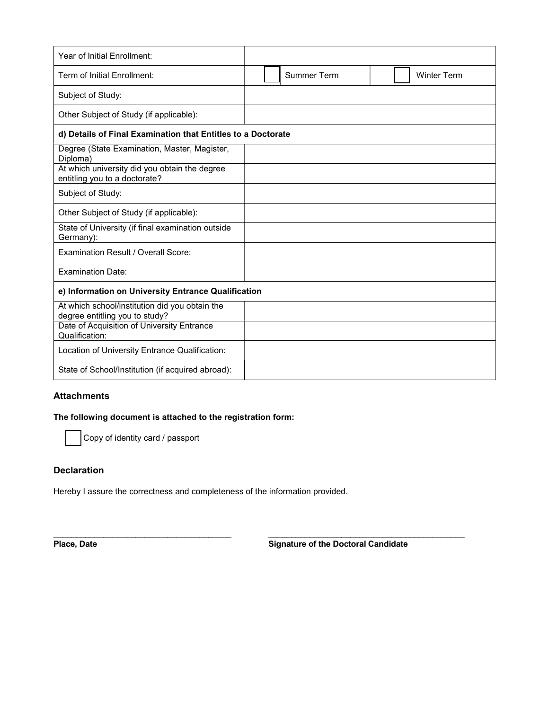| Year of Initial Enrollment:                                                      |  |  |                    |  |  |                    |
|----------------------------------------------------------------------------------|--|--|--------------------|--|--|--------------------|
| Term of Initial Enrollment:                                                      |  |  | <b>Summer Term</b> |  |  | <b>Winter Term</b> |
| Subject of Study:                                                                |  |  |                    |  |  |                    |
| Other Subject of Study (if applicable):                                          |  |  |                    |  |  |                    |
| d) Details of Final Examination that Entitles to a Doctorate                     |  |  |                    |  |  |                    |
| Degree (State Examination, Master, Magister,<br>Diploma)                         |  |  |                    |  |  |                    |
| At which university did you obtain the degree<br>entitling you to a doctorate?   |  |  |                    |  |  |                    |
| Subject of Study:                                                                |  |  |                    |  |  |                    |
| Other Subject of Study (if applicable):                                          |  |  |                    |  |  |                    |
| State of University (if final examination outside<br>Germany):                   |  |  |                    |  |  |                    |
| Examination Result / Overall Score:                                              |  |  |                    |  |  |                    |
| <b>Examination Date:</b>                                                         |  |  |                    |  |  |                    |
| e) Information on University Entrance Qualification                              |  |  |                    |  |  |                    |
| At which school/institution did you obtain the<br>degree entitling you to study? |  |  |                    |  |  |                    |
| Date of Acquisition of University Entrance<br>Qualification:                     |  |  |                    |  |  |                    |
| Location of University Entrance Qualification:                                   |  |  |                    |  |  |                    |
| State of School/Institution (if acquired abroad):                                |  |  |                    |  |  |                    |

# **Attachments**

#### The following document is attached to the registration form:

Copy of identity card / passport

## **Declaration**

Hereby I assure the correctness and completeness of the information provided.

 $\mathcal{L}_\mathcal{L} = \{ \mathcal{L}_\mathcal{L} = \{ \mathcal{L}_\mathcal{L} = \{ \mathcal{L}_\mathcal{L} = \{ \mathcal{L}_\mathcal{L} = \{ \mathcal{L}_\mathcal{L} = \{ \mathcal{L}_\mathcal{L} = \{ \mathcal{L}_\mathcal{L} = \{ \mathcal{L}_\mathcal{L} = \{ \mathcal{L}_\mathcal{L} = \{ \mathcal{L}_\mathcal{L} = \{ \mathcal{L}_\mathcal{L} = \{ \mathcal{L}_\mathcal{L} = \{ \mathcal{L}_\mathcal{L} = \{ \mathcal{L}_\mathcal{$ 

Place, Date **Signature of the Doctoral Candidate**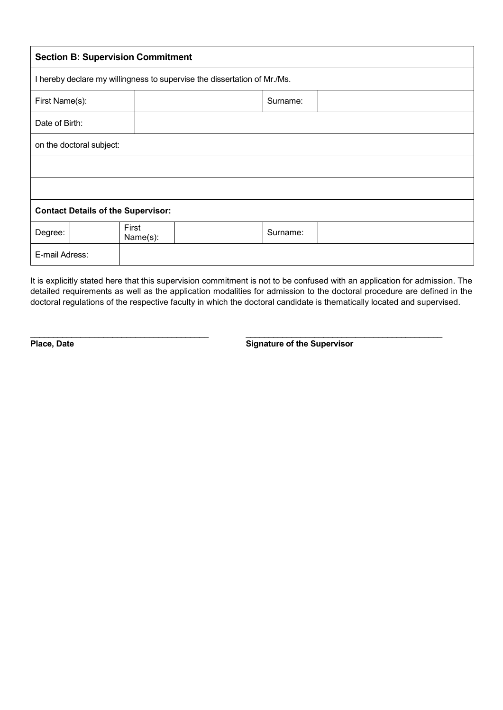| <b>Section B: Supervision Commitment</b>                                 |                   |  |          |  |  |  |  |
|--------------------------------------------------------------------------|-------------------|--|----------|--|--|--|--|
| I hereby declare my willingness to supervise the dissertation of Mr./Ms. |                   |  |          |  |  |  |  |
| First Name(s):                                                           |                   |  | Surname: |  |  |  |  |
| Date of Birth:                                                           |                   |  |          |  |  |  |  |
| on the doctoral subject:                                                 |                   |  |          |  |  |  |  |
|                                                                          |                   |  |          |  |  |  |  |
|                                                                          |                   |  |          |  |  |  |  |
| <b>Contact Details of the Supervisor:</b>                                |                   |  |          |  |  |  |  |
| Degree:                                                                  | First<br>Name(s): |  | Surname: |  |  |  |  |
| E-mail Adress:                                                           |                   |  |          |  |  |  |  |

It is explicitly stated here that this supervision commitment is not to be confused with an application for admission. The detailed requirements as well as the application modalities for admission to the doctoral procedure are defined in the doctoral regulations of the respective faculty in which the doctoral candidate is thematically located and supervised.

\_\_\_\_\_\_\_\_\_\_\_\_\_\_\_\_\_\_\_\_\_\_\_\_\_\_\_\_\_\_\_\_\_\_\_\_\_\_\_ \_\_\_\_\_\_\_\_\_\_\_\_\_\_\_\_\_\_\_\_\_\_\_\_\_\_\_\_\_\_\_\_\_\_\_\_\_\_\_\_\_\_\_

**Place, Date** Signature of the Supervisor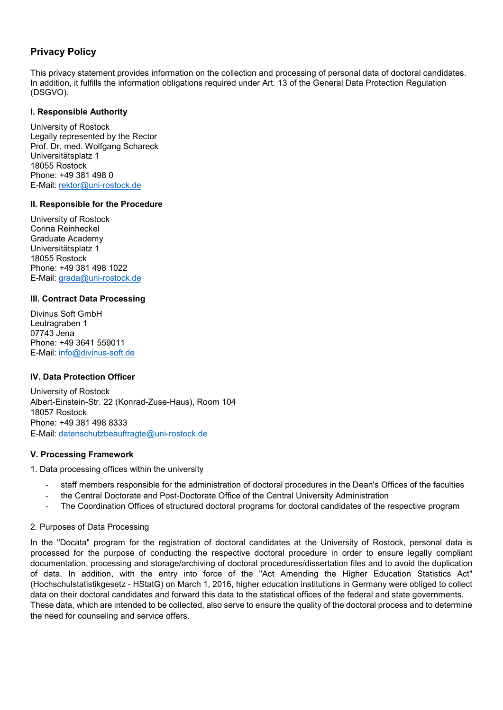# **Privacy Policy**

This privacy statement provides information on the collection and processing of personal data of doctoral candidates. In addition, it fulfills the information obligations required under Art. 13 of the General Data Protection Regulation (DSGVO).

## **I. Responsible Authority**

University of Rostock Legally represented by the Rector Prof. Dr. med. Wolfgang Schareck Universitätsplatz 1 18055 Rostock Phone: +49 381 498 0 E-Mail: [rektor@uni-rostock.de](mailto:rektor@uni-rostock.de)

## **II. Responsible for the Procedure**

University of Rostock Corina Reinheckel Graduate Academy Universitätsplatz 1 18055 Rostock Phone: +49 381 498 1022 E-Mail: [grada@uni-rostock.de](mailto:grada@uni-rostock.de)

# **III. Contract Data Processing**

Divinus Soft GmbH Leutragraben 1 07743 Jena Phone: +49 3641 559011 E-Mail: [info@divinus-soft.de](mailto:info@divinus-soft.de)

# **IV. Data Protection Officer**

University of Rostock Albert-Einstein-Str. 22 (Konrad-Zuse-Haus), Room 104 18057 Rostock Phone: +49 381 498 8333 E-Mail: [datenschutzbeauftragte@uni-rostock.de](mailto:datenschutzbeauftragte@uni-rostock.de)

## **V. Processing Framework**

1. Data processing offices within the university

- staff members responsible for the administration of doctoral procedures in the Dean's Offices of the faculties
- the Central Doctorate and Post-Doctorate Office of the Central University Administration
- The Coordination Offices of structured doctoral programs for doctoral candidates of the respective program

## 2. Purposes of Data Processing

In the "Docata" program for the registration of doctoral candidates at the University of Rostock, personal data is processed for the purpose of conducting the respective doctoral procedure in order to ensure legally compliant documentation, processing and storage/archiving of doctoral procedures/dissertation files and to avoid the duplication of data. In addition, with the entry into force of the "Act Amending the Higher Education Statistics Act" (Hochschulstatistikgesetz - HStatG) on March 1, 2016, higher education institutions in Germany were obliged to collect data on their doctoral candidates and forward this data to the statistical offices of the federal and state governments. These data, which are intended to be collected, also serve to ensure the quality of the doctoral process and to determine the need for counseling and service offers.